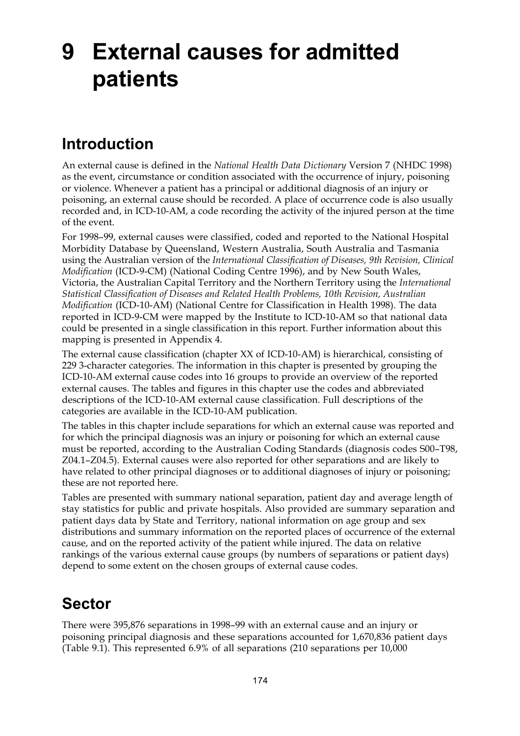# **9 External causes for admitted patients**

### **Introduction**

An external cause is defined in the *National Health Data Dictionary* Version 7 (NHDC 1998) as the event, circumstance or condition associated with the occurrence of injury, poisoning or violence. Whenever a patient has a principal or additional diagnosis of an injury or poisoning, an external cause should be recorded. A place of occurrence code is also usually recorded and, in ICD-10-AM, a code recording the activity of the injured person at the time of the event.

For 1998–99, external causes were classified, coded and reported to the National Hospital Morbidity Database by Queensland, Western Australia, South Australia and Tasmania using the Australian version of the *International Classification of Diseases, 9th Revision, Clinical Modification* (ICD-9-CM) (National Coding Centre 1996), and by New South Wales, Victoria, the Australian Capital Territory and the Northern Territory using the *International Statistical Classification of Diseases and Related Health Problems, 10th Revision, Australian Modification* (ICD-10-AM) (National Centre for Classification in Health 1998). The data reported in ICD-9-CM were mapped by the Institute to ICD-10-AM so that national data could be presented in a single classification in this report. Further information about this mapping is presented in Appendix 4.

The external cause classification (chapter XX of ICD-10-AM) is hierarchical, consisting of 229 3-character categories. The information in this chapter is presented by grouping the ICD-10-AM external cause codes into 16 groups to provide an overview of the reported external causes. The tables and figures in this chapter use the codes and abbreviated descriptions of the ICD-10-AM external cause classification. Full descriptions of the categories are available in the ICD-10-AM publication.

The tables in this chapter include separations for which an external cause was reported and for which the principal diagnosis was an injury or poisoning for which an external cause must be reported, according to the Australian Coding Standards (diagnosis codes S00–T98, Z04.1–Z04.5). External causes were also reported for other separations and are likely to have related to other principal diagnoses or to additional diagnoses of injury or poisoning; these are not reported here.

Tables are presented with summary national separation, patient day and average length of stay statistics for public and private hospitals. Also provided are summary separation and patient days data by State and Territory, national information on age group and sex distributions and summary information on the reported places of occurrence of the external cause, and on the reported activity of the patient while injured. The data on relative rankings of the various external cause groups (by numbers of separations or patient days) depend to some extent on the chosen groups of external cause codes.

#### **Sector**

There were 395,876 separations in 1998–99 with an external cause and an injury or poisoning principal diagnosis and these separations accounted for 1,670,836 patient days (Table 9.1). This represented 6.9% of all separations (210 separations per 10,000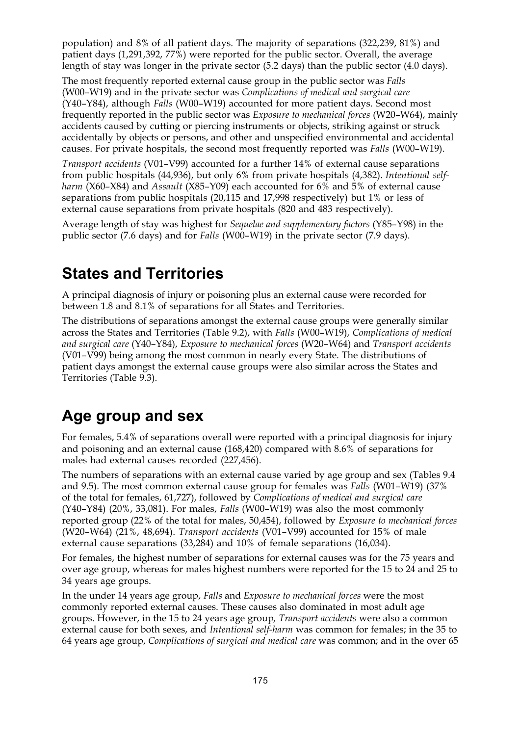population) and 8% of all patient days. The majority of separations (322,239, 81%) and patient days (1,291,392, 77%) were reported for the public sector. Overall, the average length of stay was longer in the private sector (5.2 days) than the public sector (4.0 days).

The most frequently reported external cause group in the public sector was *Falls* (W00–W19) and in the private sector was *Complications of medical and surgical care* (Y40–Y84), although *Falls* (W00–W19) accounted for more patient days. Second most frequently reported in the public sector was *Exposure to mechanical forces* (W20–W64), mainly accidents caused by cutting or piercing instruments or objects, striking against or struck accidentally by objects or persons, and other and unspecified environmental and accidental causes. For private hospitals, the second most frequently reported was *Falls* (W00–W19).

*Transport accidents* (V01–V99) accounted for a further 14% of external cause separations from public hospitals (44,936), but only 6% from private hospitals (4,382). *Intentional selfharm* (X60–X84) and *Assault* (X85–Y09) each accounted for 6% and 5% of external cause separations from public hospitals (20,115 and 17,998 respectively) but 1% or less of external cause separations from private hospitals (820 and 483 respectively).

Average length of stay was highest for *Sequelae and supplementary factors* (Y85–Y98) in the public sector (7.6 days) and for *Falls* (W00–W19) in the private sector (7.9 days).

#### **States and Territories**

A principal diagnosis of injury or poisoning plus an external cause were recorded for between 1.8 and 8.1% of separations for all States and Territories.

The distributions of separations amongst the external cause groups were generally similar across the States and Territories (Table 9.2), with *Falls* (W00–W19), *Complications of medical and surgical care* (Y40–Y84), *Exposure to mechanical forces* (W20–W64) and *Transport accidents* (V01–V99) being among the most common in nearly every State. The distributions of patient days amongst the external cause groups were also similar across the States and Territories (Table 9.3).

#### **Age group and sex**

For females, 5.4% of separations overall were reported with a principal diagnosis for injury and poisoning and an external cause (168,420) compared with 8.6% of separations for males had external causes recorded (227,456).

The numbers of separations with an external cause varied by age group and sex (Tables 9.4 and 9.5). The most common external cause group for females was *Falls* (W01–W19) (37% of the total for females, 61,727), followed by *Complications of medical and surgical care* (Y40–Y84) (20%, 33,081). For males, *Falls* (W00–W19) was also the most commonly reported group (22% of the total for males, 50,454), followed by *Exposure to mechanical forces* (W20–W64) (21%, 48,694). *Transport accidents* (V01–V99) accounted for 15% of male external cause separations (33,284) and 10% of female separations (16,034).

For females, the highest number of separations for external causes was for the 75 years and over age group, whereas for males highest numbers were reported for the 15 to 24 and 25 to 34 years age groups.

In the under 14 years age group, *Falls* and *Exposure to mechanical forces* were the most commonly reported external causes. These causes also dominated in most adult age groups. However, in the 15 to 24 years age group*, Transport accidents* were also a common external cause for both sexes, and *Intentional self-harm* was common for females; in the 35 to 64 years age group, *Complications of surgical and medical care* was common; and in the over 65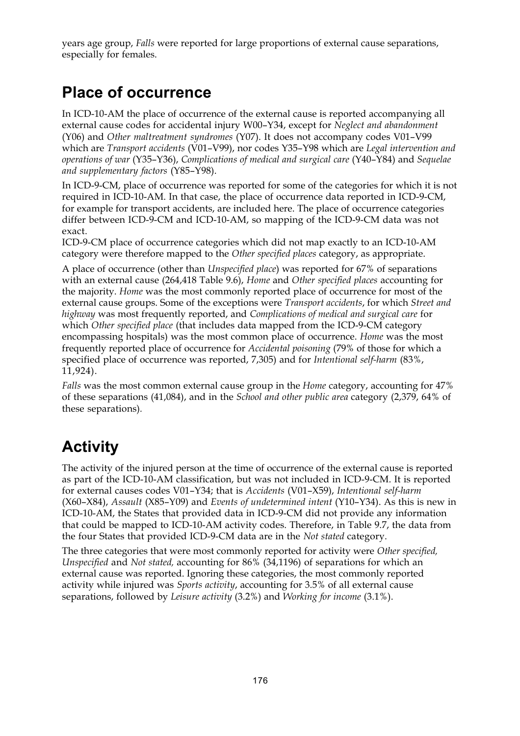years age group, *Falls* were reported for large proportions of external cause separations, especially for females.

## **Place of occurrence**

In ICD-10-AM the place of occurrence of the external cause is reported accompanying all external cause codes for accidental injury W00–Y34, except for *Neglect and abandonment* (Y06) and *Other maltreatment syndromes* (Y07). It does not accompany codes V01–V99 which are *Transport accidents* (V01–V99), nor codes Y35–Y98 which are *Legal intervention and operations of war* (Y35–Y36), *Complications of medical and surgical care* (Y40–Y84) and *Sequelae and supplementary factors* (Y85–Y98).

In ICD-9-CM, place of occurrence was reported for some of the categories for which it is not required in ICD-10-AM. In that case, the place of occurrence data reported in ICD-9-CM, for example for transport accidents, are included here. The place of occurrence categories differ between ICD-9-CM and ICD-10-AM, so mapping of the ICD-9-CM data was not exact.

ICD-9-CM place of occurrence categories which did not map exactly to an ICD-10-AM category were therefore mapped to the *Other specified places* category, as appropriate.

A place of occurrence (other than *Unspecified place*) was reported for 67% of separations with an external cause (264,418 Table 9.6), *Home* and *Other specified places* accounting for the majority. *Home* was the most commonly reported place of occurrence for most of the external cause groups. Some of the exceptions were *Transport accidents*, for which *Street and highway* was most frequently reported, and *Complications of medical and surgical care* for which *Other specified place* (that includes data mapped from the ICD-9-CM category encompassing hospitals) was the most common place of occurrence. *Home* was the most frequently reported place of occurrence for *Accidental poisoning* (79% of those for which a specified place of occurrence was reported, 7,305) and for *Intentional self-harm* (83%, 11,924).

*Falls* was the most common external cause group in the *Home* category, accounting for 47% of these separations (41,084), and in the *School and other public area* category (2,379, 64% of these separations)*.*

## **Activity**

The activity of the injured person at the time of occurrence of the external cause is reported as part of the ICD-10-AM classification, but was not included in ICD-9-CM. It is reported for external causes codes V01–Y34; that is *Accidents* (V01–X59), *Intentional self-harm* (X60–X84), *Assault* (X85–Y09) and *Events of undetermined intent* (Y10–Y34). As this is new in ICD-10-AM, the States that provided data in ICD-9-CM did not provide any information that could be mapped to ICD-10-AM activity codes. Therefore, in Table 9.7, the data from the four States that provided ICD-9-CM data are in the *Not stated* category.

The three categories that were most commonly reported for activity were *Other specified, Unspecified* and *Not stated,* accounting for 86% (34,1196) of separations for which an external cause was reported. Ignoring these categories, the most commonly reported activity while injured was *Sports activity*, accounting for 3.5% of all external cause separations, followed by *Leisure activity* (3.2%) and *Working for income* (3.1%).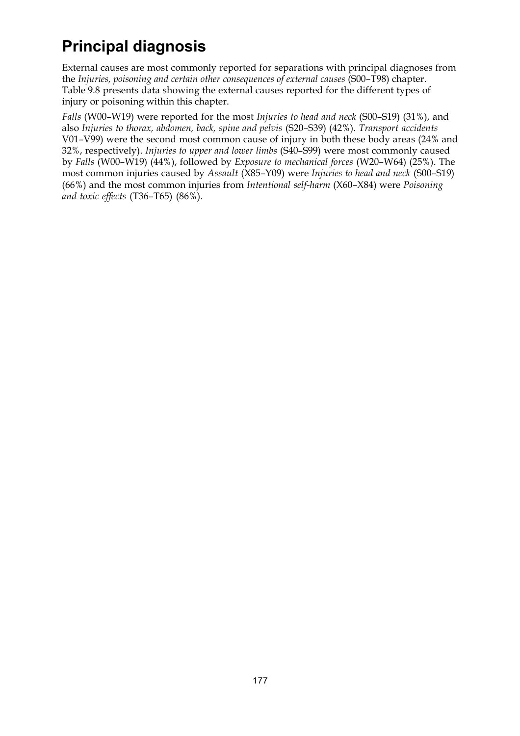## **Principal diagnosis**

External causes are most commonly reported for separations with principal diagnoses from the *Injuries, poisoning and certain other consequences of external causes* (S00–T98) chapter. Table 9.8 presents data showing the external causes reported for the different types of injury or poisoning within this chapter.

*Falls* (W00–W19) were reported for the most *Injuries to head and neck* (S00–S19) (31%), and also *Injuries to thorax, abdomen, back, spine and pelvis* (S20–S39) (42%). *Transport accidents* V01–V99) were the second most common cause of injury in both these body areas (24% and 32%, respectively). *Injuries to upper and lower limbs* (S40–S99) were most commonly caused by *Falls* (W00–W19) (44%), followed by *Exposure to mechanical forces* (W20–W64) (25%). The most common injuries caused by *Assault* (X85–Y09) were *Injuries to head and neck* (S00–S19) (66%) and the most common injuries from *Intentional self-harm* (X60–X84) were *Poisoning and toxic effects* (T36–T65) (86%).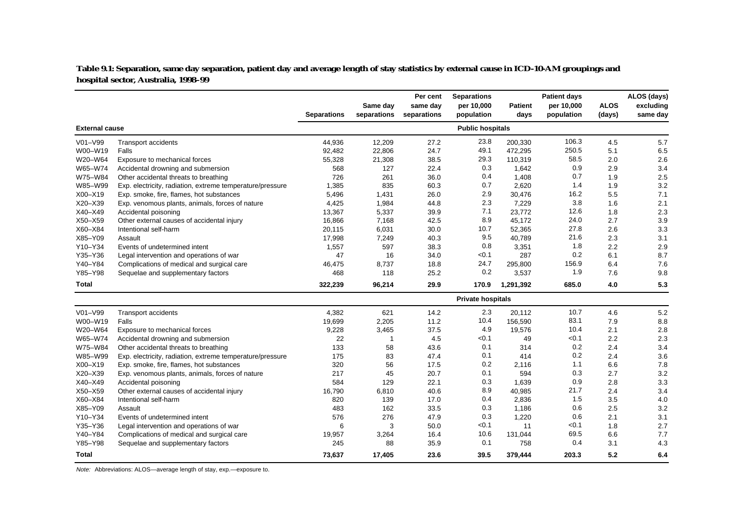**Table 9.1: Separation, same day separation, patient day and average length of stay statistics by external cause in ICD-10-AM groupings and hospital sector, Australia, 1998–99**

|                       |                                                           | <b>Separations</b> | Same day<br>separations | Per cent<br>same day<br>separations | <b>Separations</b><br>per 10,000<br>population | Patient<br>days | <b>Patient days</b><br>per 10,000<br>population | <b>ALOS</b><br>(days) | ALOS (days)<br>excluding<br>same day |
|-----------------------|-----------------------------------------------------------|--------------------|-------------------------|-------------------------------------|------------------------------------------------|-----------------|-------------------------------------------------|-----------------------|--------------------------------------|
| <b>External cause</b> |                                                           |                    |                         |                                     | <b>Public hospitals</b>                        |                 |                                                 |                       |                                      |
| V01-V99               | <b>Transport accidents</b>                                | 44,936             | 12,209                  | 27.2                                | 23.8                                           | 200,330         | 106.3                                           | 4.5                   | 5.7                                  |
| W00-W19               | Falls                                                     | 92,482             | 22,806                  | 24.7                                | 49.1                                           | 472,295         | 250.5                                           | 5.1                   | 6.5                                  |
| W20-W64               | Exposure to mechanical forces                             | 55,328             | 21,308                  | 38.5                                | 29.3                                           | 110,319         | 58.5                                            | 2.0                   | 2.6                                  |
| W65-W74               | Accidental drowning and submersion                        | 568                | 127                     | 22.4                                | 0.3                                            | 1,642           | 0.9                                             | 2.9                   | 3.4                                  |
| W75-W84               | Other accidental threats to breathing                     | 726                | 261                     | 36.0                                | 0.4                                            | 1,408           | 0.7                                             | 1.9                   | 2.5                                  |
| W85-W99               | Exp. electricity, radiation, extreme temperature/pressure | 1,385              | 835                     | 60.3                                | 0.7                                            | 2,620           | 1.4                                             | 1.9                   | 3.2                                  |
| X00-X19               | Exp. smoke, fire, flames, hot substances                  | 5,496              | 1,431                   | 26.0                                | 2.9                                            | 30,476          | 16.2                                            | 5.5                   | 7.1                                  |
| X20-X39               | Exp. venomous plants, animals, forces of nature           | 4,425              | 1,984                   | 44.8                                | 2.3                                            | 7,229           | 3.8                                             | 1.6                   | 2.1                                  |
| X40-X49               | Accidental poisoning                                      | 13,367             | 5,337                   | 39.9                                | 7.1                                            | 23,772          | 12.6                                            | 1.8                   | 2.3                                  |
| X50-X59               | Other external causes of accidental injury                | 16,866             | 7,168                   | 42.5                                | 8.9                                            | 45.172          | 24.0                                            | 2.7                   | 3.9                                  |
| X60-X84               | Intentional self-harm                                     | 20,115             | 6,031                   | 30.0                                | 10.7                                           | 52,365          | 27.8                                            | 2.6                   | 3.3                                  |
| X85-Y09               | Assault                                                   | 17,998             | 7,249                   | 40.3                                | 9.5                                            | 40,789          | 21.6                                            | 2.3                   | 3.1                                  |
| Y10-Y34               | Events of undetermined intent                             | 1,557              | 597                     | 38.3                                | 0.8                                            | 3,351           | 1.8                                             | 2.2                   | 2.9                                  |
| Y35-Y36               | Legal intervention and operations of war                  | 47                 | 16                      | 34.0                                | < 0.1                                          | 287             | 0.2                                             | 6.1                   | 8.7                                  |
| Y40-Y84               | Complications of medical and surgical care                | 46,475             | 8,737                   | 18.8                                | 24.7                                           | 295,800         | 156.9                                           | 6.4                   | 7.6                                  |
| Y85-Y98               | Sequelae and supplementary factors                        | 468                | 118                     | 25.2                                | 0.2                                            | 3,537           | 1.9                                             | 7.6                   | 9.8                                  |
| Total                 |                                                           | 322,239            | 96,214                  | 29.9                                | 170.9                                          | 1,291,392       | 685.0                                           | 4.0                   | 5.3                                  |
|                       |                                                           |                    |                         |                                     | <b>Private hospitals</b>                       |                 |                                                 |                       |                                      |
| V01-V99               | Transport accidents                                       | 4,382              | 621                     | 14.2                                | 2.3                                            | 20,112          | 10.7                                            | 4.6                   | 5.2                                  |
| W00-W19               | Falls                                                     | 19,699             | 2,205                   | 11.2                                | 10.4                                           | 156,590         | 83.1                                            | 7.9                   | 8.8                                  |
| W20-W64               | Exposure to mechanical forces                             | 9,228              | 3,465                   | 37.5                                | 4.9                                            | 19,576          | 10.4                                            | 2.1                   | 2.8                                  |
| W65-W74               | Accidental drowning and submersion                        | 22                 | -1                      | 4.5                                 | < 0.1                                          | 49              | < 0.1                                           | 2.2                   | 2.3                                  |
| W75-W84               | Other accidental threats to breathing                     | 133                | 58                      | 43.6                                | 0.1                                            | 314             | 0.2                                             | 2.4                   | 3.4                                  |
| W85-W99               | Exp. electricity, radiation, extreme temperature/pressure | 175                | 83                      | 47.4                                | 0.1                                            | 414             | 0.2                                             | 2.4                   | 3.6                                  |
| X00-X19               | Exp. smoke, fire, flames, hot substances                  | 320                | 56                      | 17.5                                | 0.2                                            | 2,116           | 1.1                                             | 6.6                   | 7.8                                  |
| X20-X39               | Exp. venomous plants, animals, forces of nature           | 217                | 45                      | 20.7                                | 0.1                                            | 594             | 0.3                                             | 2.7                   | 3.2                                  |
| X40-X49               | Accidental poisoning                                      | 584                | 129                     | 22.1                                | 0.3                                            | 1,639           | 0.9                                             | 2.8                   | 3.3                                  |
| X50-X59               | Other external causes of accidental injury                | 16,790             | 6,810                   | 40.6                                | 8.9                                            | 40,985          | 21.7                                            | 2.4                   | 3.4                                  |
| X60-X84               | Intentional self-harm                                     | 820                | 139                     | 17.0                                | 0.4                                            | 2,836           | 1.5                                             | 3.5                   | 4.0                                  |
| X85-Y09               | Assault                                                   | 483                | 162                     | 33.5                                | 0.3                                            | 1,186           | 0.6                                             | 2.5                   | 3.2                                  |
| Y10-Y34               | Events of undetermined intent                             | 576                | 276                     | 47.9                                | 0.3                                            | 1,220           | 0.6                                             | 2.1                   | 3.1                                  |
| Y35-Y36               | Legal intervention and operations of war                  | 6                  | 3                       | 50.0                                | < 0.1                                          | 11              | < 0.1                                           | 1.8                   | 2.7                                  |
| Y40-Y84               | Complications of medical and surgical care                | 19,957             | 3,264                   | 16.4                                | 10.6                                           | 131,044         | 69.5                                            | 6.6                   | 7.7                                  |
| Y85-Y98               | Sequelae and supplementary factors                        | 245                | 88                      | 35.9                                | 0.1                                            | 758             | 0.4                                             | 3.1                   | 4.3                                  |
| Total                 |                                                           | 73,637             | 17,405                  | 23.6                                | 39.5                                           | 379,444         | 203.3                                           | 5.2                   | 6.4                                  |

Note: Abbreviations: ALOS—average length of stay, exp.—exposure to.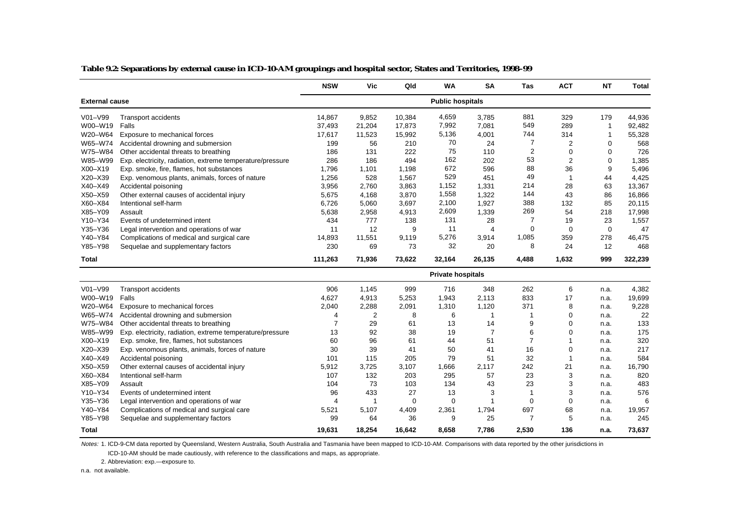|                       |                                                           | <b>NSW</b>               | <b>Vic</b>     | Qld         | <b>WA</b>               | <b>SA</b>      | Tas            | <b>ACT</b>     | <b>NT</b>      | <b>Total</b> |  |  |  |  |
|-----------------------|-----------------------------------------------------------|--------------------------|----------------|-------------|-------------------------|----------------|----------------|----------------|----------------|--------------|--|--|--|--|
| <b>External cause</b> |                                                           |                          |                |             | <b>Public hospitals</b> |                |                |                |                |              |  |  |  |  |
| $V01-V99$             | <b>Transport accidents</b>                                | 14,867                   | 9,852          | 10,384      | 4,659                   | 3,785          | 881            | 329            | 179            | 44,936       |  |  |  |  |
| W00-W19               | Falls                                                     | 37,493                   | 21,204         | 17,873      | 7,992                   | 7,081          | 549            | 289            | $\overline{1}$ | 92,482       |  |  |  |  |
| W20-W64               | Exposure to mechanical forces                             | 17,617                   | 11,523         | 15,992      | 5,136                   | 4,001          | 744            | 314            | $\overline{1}$ | 55,328       |  |  |  |  |
| W65-W74               | Accidental drowning and submersion                        | 199                      | 56             | 210         | 70                      | 24             | 7              | $\overline{2}$ | $\Omega$       | 568          |  |  |  |  |
| W75-W84               | Other accidental threats to breathing                     | 186                      | 131            | 222         | 75                      | 110            | $\overline{2}$ | $\mathbf 0$    | $\mathbf 0$    | 726          |  |  |  |  |
| W85-W99               | Exp. electricity, radiation, extreme temperature/pressure | 286                      | 186            | 494         | 162                     | 202            | 53             | $\overline{2}$ | $\mathbf 0$    | 1,385        |  |  |  |  |
| X00-X19               | Exp. smoke, fire, flames, hot substances                  | 1,796                    | 1,101          | 1,198       | 672                     | 596            | 88             | 36             | 9              | 5,496        |  |  |  |  |
| X20-X39               | Exp. venomous plants, animals, forces of nature           | 1,256                    | 528            | 1,567       | 529                     | 451            | 49             | $\mathbf{1}$   | 44             | 4,425        |  |  |  |  |
| X40-X49               | Accidental poisoning                                      | 3,956                    | 2,760          | 3,863       | 1,152                   | 1,331          | 214            | 28             | 63             | 13,367       |  |  |  |  |
| X50-X59               | Other external causes of accidental injury                | 5,675                    | 4,168          | 3,870       | 1,558                   | 1,322          | 144            | 43             | 86             | 16,866       |  |  |  |  |
| X60-X84               | Intentional self-harm                                     | 6,726                    | 5,060          | 3,697       | 2,100                   | 1,927          | 388            | 132            | 85             | 20,115       |  |  |  |  |
| X85-Y09               | Assault                                                   | 5,638                    | 2,958          | 4,913       | 2,609                   | 1,339          | 269            | 54             | 218            | 17,998       |  |  |  |  |
| Y10-Y34               | Events of undetermined intent                             | 434                      | 777            | 138         | 131                     | 28             | 7              | 19             | 23             | 1,557        |  |  |  |  |
| Y35-Y36               | Legal intervention and operations of war                  | 11                       | 12             | 9           | 11                      | $\overline{4}$ | $\mathbf 0$    | $\mathbf 0$    | $\mathbf 0$    | 47           |  |  |  |  |
| Y40-Y84               | Complications of medical and surgical care                | 14,893                   | 11,551         | 9,119       | 5,276                   | 3,914          | 1,085          | 359            | 278            | 46,475       |  |  |  |  |
| Y85-Y98               | Sequelae and supplementary factors                        | 230                      | 69             | 73          | 32                      | 20             | 8              | 24             | 12             | 468          |  |  |  |  |
| <b>Total</b>          |                                                           | 111,263                  | 71,936         | 73,622      | 32,164                  | 26,135         | 4,488          | 1,632          | 999            | 322,239      |  |  |  |  |
|                       |                                                           | <b>Private hospitals</b> |                |             |                         |                |                |                |                |              |  |  |  |  |
| $V01-V99$             | Transport accidents                                       | 906                      | 1,145          | 999         | 716                     | 348            | 262            | 6              | n.a.           | 4,382        |  |  |  |  |
| W00-W19               | Falls                                                     | 4,627                    | 4,913          | 5,253       | 1,943                   | 2,113          | 833            | 17             | n.a.           | 19,699       |  |  |  |  |
| W20-W64               | Exposure to mechanical forces                             | 2,040                    | 2,288          | 2,091       | 1,310                   | 1,120          | 371            | 8              | n.a.           | 9,228        |  |  |  |  |
| W65-W74               | Accidental drowning and submersion                        | 4                        | $\overline{2}$ | 8           | 6                       |                | -1             | $\Omega$       | n.a.           | 22           |  |  |  |  |
| W75-W84               | Other accidental threats to breathing                     | $\overline{7}$           | 29             | 61          | 13                      | 14             | 9              | $\Omega$       | n.a.           | 133          |  |  |  |  |
| W85-W99               | Exp. electricity, radiation, extreme temperature/pressure | 13                       | 92             | 38          | 19                      | $\overline{7}$ | 6              | $\mathbf 0$    | n.a.           | 175          |  |  |  |  |
| X00-X19               | Exp. smoke, fire, flames, hot substances                  | 60                       | 96             | 61          | 44                      | 51             | $\overline{7}$ | 1              | n.a.           | 320          |  |  |  |  |
| X20-X39               | Exp. venomous plants, animals, forces of nature           | 30                       | 39             | 41          | 50                      | 41             | 16             | $\Omega$       | n.a.           | 217          |  |  |  |  |
| X40-X49               | Accidental poisoning                                      | 101                      | 115            | 205         | 79                      | 51             | 32             | 1              | n.a.           | 584          |  |  |  |  |
| X50-X59               | Other external causes of accidental injury                | 5,912                    | 3,725          | 3,107       | 1,666                   | 2.117          | 242            | 21             | n.a.           | 16,790       |  |  |  |  |
| X60-X84               | Intentional self-harm                                     | 107                      | 132            | 203         | 295                     | 57             | 23             | 3              | n.a.           | 820          |  |  |  |  |
| X85-Y09               | Assault                                                   | 104                      | 73             | 103         | 134                     | 43             | 23             | 3              | n.a.           | 483          |  |  |  |  |
| Y10-Y34               | Events of undetermined intent                             | 96                       | 433            | 27          | 13                      | 3              | 1              | 3              | n.a.           | 576          |  |  |  |  |
| Y35-Y36               | Legal intervention and operations of war                  | 4                        | 1              | $\mathbf 0$ | 0                       | $\mathbf 1$    | 0              | $\mathbf 0$    | n.a.           | 6            |  |  |  |  |
| Y40-Y84               | Complications of medical and surgical care                | 5,521                    | 5,107          | 4,409       | 2,361                   | 1,794          | 697            | 68             | n.a.           | 19,957       |  |  |  |  |
| Y85-Y98               | Sequelae and supplementary factors                        | 99                       | 64             | 36          | 9                       | 25             | $\overline{7}$ | 5              | n.a.           | 245          |  |  |  |  |

**Table 9.2: Separations by external cause in ICD-10-AM groupings and hospital sector, States and Territories, 1998–99**

Notes: 1. ICD-9-CM data reported by Queensland, Western Australia, South Australia and Tasmania have been mapped to ICD-10-AM. Comparisons with data reported by the other jurisdictions in

**19,631 18,254 16,642 8,658 7,786 2,530 136 n.a. 73,637**

ICD-10-AM should be made cautiously, with reference to the classifications and maps, as appropriate.

2. Abbreviation: exp.—exposure to.

n.a. not available.

**Total**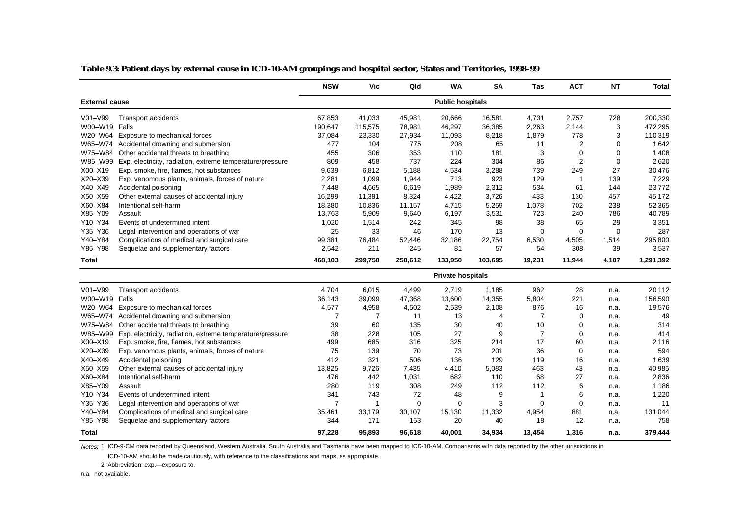|                       |                                                           | <b>NSW</b>     | Vic            | Qld         | <b>WA</b>                | <b>SA</b>      | Tas            | <b>ACT</b>     | <b>NT</b>   | <b>Total</b> |
|-----------------------|-----------------------------------------------------------|----------------|----------------|-------------|--------------------------|----------------|----------------|----------------|-------------|--------------|
| <b>External cause</b> |                                                           |                |                |             | <b>Public hospitals</b>  |                |                |                |             |              |
| V01-V99               | <b>Transport accidents</b>                                | 67,853         | 41,033         | 45,981      | 20,666                   | 16,581         | 4,731          | 2,757          | 728         | 200,330      |
| W00-W19               | Falls                                                     | 190,647        | 115,575        | 78,981      | 46,297                   | 36,385         | 2,263          | 2,144          | 3           | 472,295      |
| W20-W64               | Exposure to mechanical forces                             | 37,084         | 23,330         | 27,934      | 11,093                   | 8,218          | 1,879          | 778            | 3           | 110,319      |
| W65-W74               | Accidental drowning and submersion                        | 477            | 104            | 775         | 208                      | 65             | 11             | $\overline{2}$ | 0           | 1,642        |
| W75-W84               | Other accidental threats to breathing                     | 455            | 306            | 353         | 110                      | 181            | 3              | $\mathbf 0$    | $\mathbf 0$ | 1,408        |
| W85-W99               | Exp. electricity, radiation, extreme temperature/pressure | 809            | 458            | 737         | 224                      | 304            | 86             | $\overline{2}$ | $\mathbf 0$ | 2,620        |
| X00-X19               | Exp. smoke, fire, flames, hot substances                  | 9,639          | 6,812          | 5,188       | 4,534                    | 3,288          | 739            | 249            | 27          | 30,476       |
| X20-X39               | Exp. venomous plants, animals, forces of nature           | 2,281          | 1,099          | 1,944       | 713                      | 923            | 129            | $\overline{1}$ | 139         | 7,229        |
| X40-X49               | Accidental poisoning                                      | 7,448          | 4,665          | 6,619       | 1,989                    | 2,312          | 534            | 61             | 144         | 23,772       |
| X50-X59               | Other external causes of accidental injury                | 16,299         | 11,381         | 8,324       | 4,422                    | 3,726          | 433            | 130            | 457         | 45,172       |
| X60-X84               | Intentional self-harm                                     | 18,380         | 10,836         | 11,157      | 4,715                    | 5,259          | 1,078          | 702            | 238         | 52,365       |
| X85-Y09               | Assault                                                   | 13,763         | 5,909          | 9,640       | 6,197                    | 3,531          | 723            | 240            | 786         | 40,789       |
| Y10-Y34               | Events of undetermined intent                             | 1,020          | 1,514          | 242         | 345                      | 98             | 38             | 65             | 29          | 3,351        |
| Y35-Y36               | Legal intervention and operations of war                  | 25             | 33             | 46          | 170                      | 13             | $\mathbf 0$    | $\mathbf 0$    | $\mathbf 0$ | 287          |
| Y40-Y84               | Complications of medical and surgical care                | 99,381         | 76,484         | 52,446      | 32,186                   | 22,754         | 6,530          | 4,505          | 1,514       | 295,800      |
| Y85-Y98               | Sequelae and supplementary factors                        | 2,542          | 211            | 245         | 81                       | 57             | 54             | 308            | 39          | 3,537        |
| <b>Total</b>          |                                                           | 468,103        | 299,750        | 250,612     | 133,950                  | 103,695        | 19,231         | 11,944         | 4,107       | 1,291,392    |
|                       |                                                           |                |                |             | <b>Private hospitals</b> |                |                |                |             |              |
| V01-V99               | <b>Transport accidents</b>                                | 4,704          | 6,015          | 4,499       | 2,719                    | 1,185          | 962            | 28             | n.a.        | 20,112       |
| W00-W19               | Falls                                                     | 36,143         | 39,099         | 47,368      | 13,600                   | 14,355         | 5,804          | 221            | n.a.        | 156,590      |
| W20-W64               | Exposure to mechanical forces                             | 4,577          | 4,958          | 4,502       | 2,539                    | 2,108          | 876            | 16             | n.a.        | 19,576       |
| W65-W74               | Accidental drowning and submersion                        | $\overline{7}$ | $\overline{7}$ | 11          | 13                       | $\overline{4}$ | $\overline{7}$ | 0              | n.a.        | 49           |
| W75-W84               | Other accidental threats to breathing                     | 39             | 60             | 135         | 30                       | 40             | 10             | $\mathbf 0$    | n.a.        | 314          |
| W85-W99               | Exp. electricity, radiation, extreme temperature/pressure | 38             | 228            | 105         | 27                       | 9              | $\overline{7}$ | $\Omega$       | n.a.        | 414          |
| X00-X19               | Exp. smoke, fire, flames, hot substances                  | 499            | 685            | 316         | 325                      | 214            | 17             | 60             | n.a.        | 2,116        |
| X20-X39               | Exp. venomous plants, animals, forces of nature           | 75             | 139            | 70          | 73                       | 201            | 36             | $\mathbf 0$    | n.a.        | 594          |
| X40-X49               | Accidental poisoning                                      | 412            | 321            | 506         | 136                      | 129            | 119            | 16             | n.a.        | 1,639        |
| X50-X59               | Other external causes of accidental injury                | 13,825         | 9,726          | 7,435       | 4,410                    | 5,083          | 463            | 43             | n.a.        | 40,985       |
| X60-X84               | Intentional self-harm                                     | 476            | 442            | 1,031       | 682                      | 110            | 68             | 27             | n.a.        | 2,836        |
| X85-Y09               | Assault                                                   | 280            | 119            | 308         | 249                      | 112            | 112            | 6              | n.a.        | 1,186        |
| Y10-Y34               | Events of undetermined intent                             | 341            | 743            | 72          | 48                       | 9              | 1              | 6              | n.a.        | 1,220        |
| Y35-Y36               | Legal intervention and operations of war                  | $\overline{7}$ | -1             | $\mathbf 0$ | $\mathbf 0$              | 3              | $\mathbf 0$    | $\mathbf 0$    | n.a.        | 11           |
| Y40-Y84               | Complications of medical and surgical care                | 35,461         | 33,179         | 30,107      | 15,130                   | 11,332         | 4,954          | 881            | n.a.        | 131,044      |
| Y85-Y98               | Sequelae and supplementary factors                        | 344            | 171            | 153         | 20                       | 40             | 18             | 12             | n.a.        | 758          |
| Total                 |                                                           | 97,228         | 95.893         | 96,618      | 40.001                   | 34.934         | 13,454         | 1,316          | n.a.        | 379,444      |

**Table 9.3: Patient days by external cause in ICD-10-AM groupings and hospital sector, States and Territories, 1998–99**

Notes: 1. ICD-9-CM data reported by Queensland, Western Australia, South Australia and Tasmania have been mapped to ICD-10-AM. Comparisons with data reported by the other jurisdictions in

ICD-10-AM should be made cautiously, with reference to the classifications and maps, as appropriate.

2. Abbreviation: exp.—exposure to.

n.a. not available.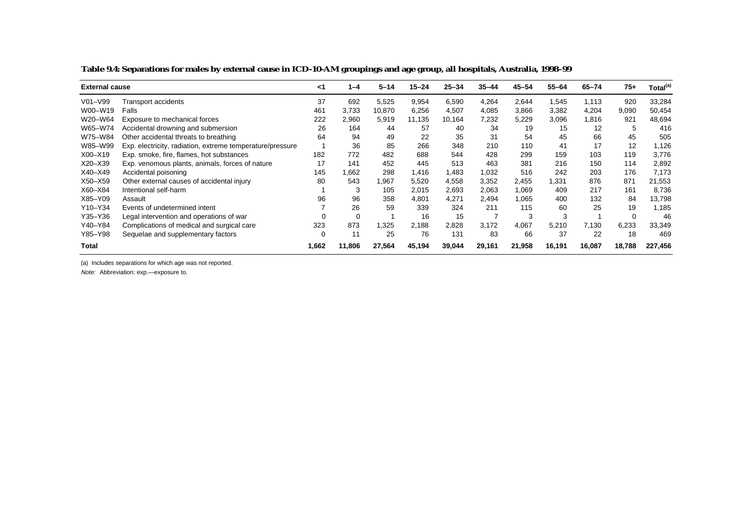|              | <b>External cause</b>                                     |            | $1 - 4$ | $5 - 14$ | $15 - 24$ | $25 - 34$ | $35 - 44$ | $45 - 54$ | $55 - 64$ | $65 - 74$ | $75+$    | Total <sup>(a)</sup> |
|--------------|-----------------------------------------------------------|------------|---------|----------|-----------|-----------|-----------|-----------|-----------|-----------|----------|----------------------|
| $V01 - V99$  | Transport accidents                                       | 37         | 692     | 5,525    | 9,954     | 6,590     | 4,264     | 2,644     | 1,545     | 1,113     | 920      | 33,284               |
| W00-W19      | Falls                                                     | 461        | 3,733   | 10,870   | 6,256     | 4,507     | 4,085     | 3,866     | 3,382     | 4,204     | 9,090    | 50,454               |
| W20-W64      | Exposure to mechanical forces                             | 222        | 2,960   | 5,919    | 11,135    | 10,164    | 7,232     | 5,229     | 3,096     | 1,816     | 921      | 48,694               |
| W65-W74      | Accidental drowning and submersion                        | 26         | 164     | 44       | 57        | 40        | 34        | 19        | 15        | 12        | 5        | 416                  |
| W75-W84      | Other accidental threats to breathing                     | 64         | 94      | 49       | 22        | 35        | 31        | 54        | 45        | 66        | 45       | 505                  |
| W85-W99      | Exp. electricity, radiation, extreme temperature/pressure |            | 36      | 85       | 266       | 348       | 210       | 110       | 41        | 17        | 12       | 1,126                |
| X00-X19      | Exp. smoke, fire, flames, hot substances                  | 182        | 772     | 482      | 688       | 544       | 428       | 299       | 159       | 103       | 119      | 3.776                |
| $X20 - X39$  | Exp. venomous plants, animals, forces of nature           | 17         | 141     | 452      | 445       | 513       | 463       | 381       | 216       | 150       | 114      | 2,892                |
| $X40 - X49$  | Accidental poisoning                                      | 145        | .662    | 298      | 1,416     | 1,483     | 1,032     | 516       | 242       | 203       | 176      | 7,173                |
| $X50 - X59$  | Other external causes of accidental injury                | 80         | 543     | 1,967    | 5,520     | 4,558     | 3,352     | 2,455     | .331      | 876       | 871      | 21,553               |
| X60-X84      | Intentional self-harm                                     |            | 3       | 105      | 2,015     | 2,693     | 2,063     | 1,069     | 409       | 217       | 161      | 8,736                |
| X85-Y09      | Assault                                                   | 96         | 96      | 358      | 4,801     | 4.271     | 2,494     | 1.065     | 400       | 132       | 84       | 13,798               |
| Y10-Y34      | Events of undetermined intent                             |            | 26      | 59       | 339       | 324       | 211       | 115       | 60        | 25        | 19       | 1,185                |
| Y35-Y36      | Legal intervention and operations of war                  |            | 0       |          | 16        | 15        | 7         | 3         | 3         |           | $\Omega$ | 46                   |
| Y40–Y84      | Complications of medical and surgical care                | 323        | 873     | 1,325    | 2,188     | 2,828     | 3,172     | 4,067     | 5,210     | 7,130     | 6,233    | 33,349               |
| Y85-Y98      | Sequelae and supplementary factors                        | $\sqrt{ }$ | 11      | 25       | 76        | 131       | 83        | 66        | 37        | 22        | 18       | 469                  |
| <b>Total</b> |                                                           | 1,662      | 11.806  | 27,564   | 45,194    | 39,044    | 29,161    | 21,958    | 16,191    | 16,087    | 18,788   | 227,456              |

**Table 9.4: Separations for males by external cause in ICD-10-AM groupings and age group, all hospitals, Australia, 1998–99**

(a) Includes separations for which age was not reported.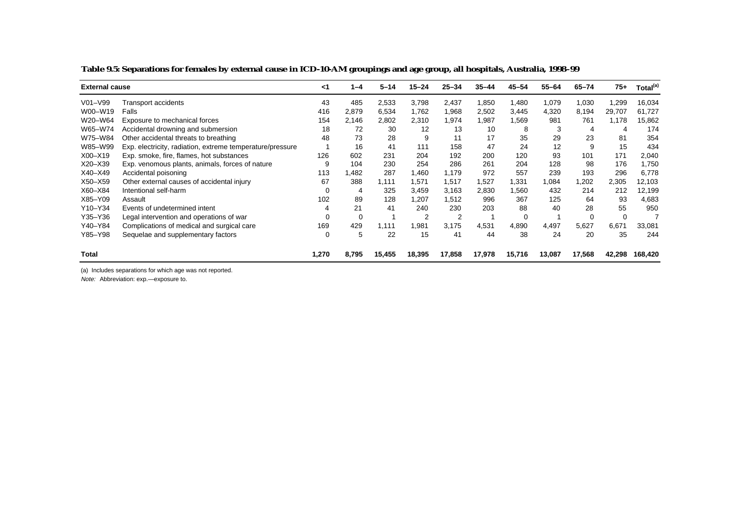|             | <b>External cause</b>                                     |          | $1 - 4$ | $5 - 14$ | $15 - 24$      | $25 - 34$ | $35 - 44$ | $45 - 54$ | $55 - 64$ | 65-74  | $75+$  | Total <sup>(a)</sup> |
|-------------|-----------------------------------------------------------|----------|---------|----------|----------------|-----------|-----------|-----------|-----------|--------|--------|----------------------|
| $V01 - V99$ | Transport accidents                                       | 43       | 485     | 2,533    | 3,798          | 2,437     | 1,850     | 1,480     | 1,079     | 1,030  | 1,299  | 16,034               |
| W00-W19     | Falls                                                     | 416      | 2,879   | 6,534    | 1,762          | 1,968     | 2,502     | 3,445     | 4,320     | 8,194  | 29,707 | 61,727               |
| W20-W64     | Exposure to mechanical forces                             | 154      | 2,146   | 2,802    | 2,310          | 1,974     | 1,987     | 1,569     | 981       | 761    | 1,178  | 15,862               |
| W65-W74     | Accidental drowning and submersion                        | 18       | 72      | 30       | 12             | 13        | 10        | 8         | 3         | 4      | 4      | 174                  |
| W75-W84     | Other accidental threats to breathing                     | 48       | 73      | 28       | 9              | 11        | 17        | 35        | 29        | 23     | 81     | 354                  |
| W85-W99     | Exp. electricity, radiation, extreme temperature/pressure |          | 16      | 41       | 111            | 158       | 47        | 24        | 12        | 9      | 15     | 434                  |
| $X00 - X19$ | Exp. smoke, fire, flames, hot substances                  | 126      | 602     | 231      | 204            | 192       | 200       | 120       | 93        | 101    | 171    | 2,040                |
| $X20 - X39$ | Exp. venomous plants, animals, forces of nature           | 9        | 104     | 230      | 254            | 286       | 261       | 204       | 128       | 98     | 176    | 1,750                |
| $X40 - X49$ | Accidental poisoning                                      | 113      | .482    | 287      | 1,460          | 1.179     | 972       | 557       | 239       | 193    | 296    | 6,778                |
| $X50 - X59$ | Other external causes of accidental injury                | 67       | 388     | 1.111    | 1,571          | 1,517     | 1,527     | 1,331     | 1,084     | 1,202  | 2,305  | 12,103               |
| X60-X84     | Intentional self-harm                                     | $\Omega$ | 4       | 325      | 3,459          | 3,163     | 2,830     | 1.560     | 432       | 214    | 212    | 12,199               |
| X85-Y09     | Assault                                                   | 102      | 89      | 128      | 1,207          | 1.512     | 996       | 367       | 125       | 64     | 93     | 4,683                |
| Y10-Y34     | Events of undetermined intent                             | 4        | 21      | 41       | 240            | 230       | 203       | 88        | 40        | 28     | 55     | 950                  |
| Y35-Y36     | Legal intervention and operations of war                  | 0        | 0       |          | $\overline{2}$ | 2         |           | 0         |           | 0      | 0      |                      |
| Y40-Y84     | Complications of medical and surgical care                | 169      | 429     | 1,111    | 1,981          | 3,175     | 4,531     | 4,890     | 4,497     | 5,627  | 6,671  | 33,081               |
| Y85-Y98     | Sequelae and supplementary factors                        | 0        | 5       | 22       | 15             | 41        | 44        | 38        | 24        | 20     | 35     | 244                  |
| Total       |                                                           | 1,270    | 8,795   | 15,455   | 18,395         | 17,858    | 17,978    | 15,716    | 13,087    | 17,568 | 42,298 | 168.420              |

**Table 9.5: Separations for females by external cause in ICD-10-AM groupings and age group, all hospitals, Australia, 1998–99**

(a) Includes separations for which age was not reported.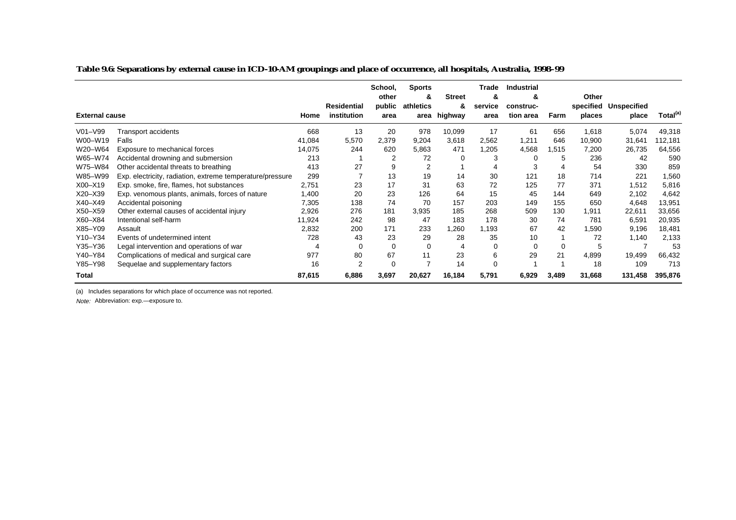**Table 9.6: Separations by external cause in ICD-10-AM groupings and place of occurrence, all hospitals, Australia, 1998–99**

|             |                                                           |        |                            | School,<br>other | <b>Sports</b><br>& | <b>Street</b> | Trade<br>&      | <b>Industrial</b><br>& |       | Other  |                                |                      |
|-------------|-----------------------------------------------------------|--------|----------------------------|------------------|--------------------|---------------|-----------------|------------------------|-------|--------|--------------------------------|----------------------|
|             | <b>External cause</b>                                     |        | Residential<br>institution | public<br>area   | athletics<br>area  | &<br>highway  | service<br>area | construc-<br>tion area | Farm  | places | specified Unspecified<br>place | Total <sup>(a)</sup> |
| V01-V99     | Transport accidents                                       | 668    | 13                         | 20               | 978                | 10,099        | 17              | 61                     | 656   | 1,618  | 5,074                          | 49,318               |
| W00-W19     | Falls                                                     | 41,084 | 5,570                      | 2,379            | 9,204              | 3,618         | 2,562           | 1,211                  | 646   | 10,900 | 31,641                         | 12,181               |
| W20-W64     | Exposure to mechanical forces                             | 14,075 | 244                        | 620              | 5,863              | 471           | 1,205           | 4,568                  | 1,515 | 7,200  | 26,735                         | 64,556               |
| W65-W74     | Accidental drowning and submersion                        | 213    |                            | 2                | 72                 | 0             | 3               | 0                      | 5     | 236    | 42                             | 590                  |
| W75-W84     | Other accidental threats to breathing                     | 413    | 27                         | 9                | 2                  |               |                 | 3                      | 4     | 54     | 330                            | 859                  |
| W85-W99     | Exp. electricity, radiation, extreme temperature/pressure | 299    |                            | 13               | 19                 | 14            | 30              | 121                    | 18    | 714    | 221                            | 1,560                |
| $X00 - X19$ | Exp. smoke, fire, flames, hot substances                  | 2,751  | 23                         | 17               | 31                 | 63            | 72              | 125                    | 77    | 371    | 1,512                          | 5,816                |
| $X20 - X39$ | Exp. venomous plants, animals, forces of nature           | 1,400  | 20                         | 23               | 126                | 64            | 15              | 45                     | 144   | 649    | 2,102                          | 4,642                |
| $X40 - X49$ | Accidental poisoning                                      | 7,305  | 138                        | 74               | 70                 | 157           | 203             | 149                    | 155   | 650    | 4,648                          | 13,951               |
| X50-X59     | Other external causes of accidental injury                | 2,926  | 276                        | 181              | 3,935              | 185           | 268             | 509                    | 130   | 1,911  | 22,611                         | 33,656               |
| X60-X84     | Intentional self-harm                                     | 11,924 | 242                        | 98               | 47                 | 183           | 178             | 30                     | 74    | 781    | 6,591                          | 20,935               |
| X85-Y09     | Assault                                                   | 2,832  | 200                        | 171              | 233                | .260          | 1,193           | 67                     | 42    | 1,590  | 9,196                          | 18,481               |
| Y10-Y34     | Events of undetermined intent                             | 728    | 43                         | 23               | 29                 | 28            | 35              | 10                     |       | 72     | 1.140                          | 2,133                |
| Y35-Y36     | Legal intervention and operations of war                  |        | $\mathbf 0$                | $\Omega$         | 0                  |               | $\Omega$        | $\mathbf 0$            | 0     | 5      |                                | 53                   |
| Y40-Y84     | Complications of medical and surgical care                | 977    | 80                         | 67               | 11                 | 23            | 6               | 29                     | 21    | 4,899  | 19,499                         | 66,432               |
| Y85-Y98     | Sequelae and supplementary factors                        | 16     | $\overline{2}$             | 0                |                    | 14            | 0               |                        |       | 18     | 109                            | 713                  |
| Total       |                                                           | 87,615 | 6,886                      | 3,697            | 20,627             | 16,184        | 5,791           | 6,929                  | 3,489 | 31,668 | 131,458                        | 395,876              |

(a) Includes separations for which place of occurrence was not reported.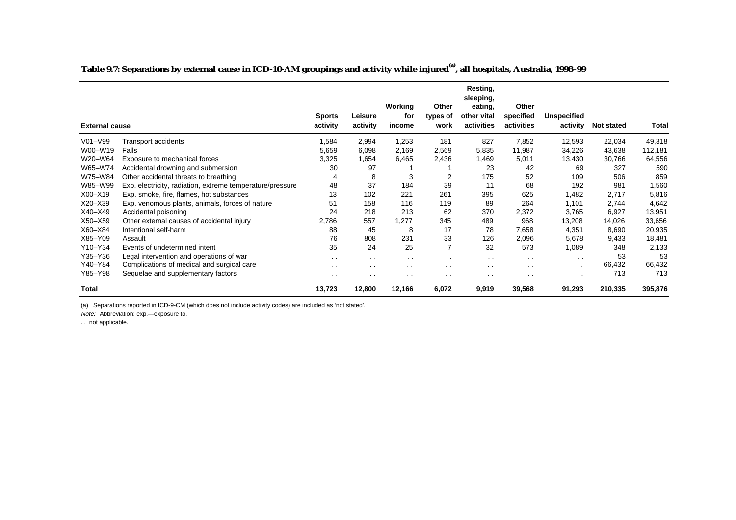**Table 9.7: Separations by external cause in ICD-10-AM groupings and activity while injured(a), all hospitals, Australia, 1998–99**

|                       |                                                           |               |               |                |                   | Resting,<br>sleeping,  |                      |                      |            |         |
|-----------------------|-----------------------------------------------------------|---------------|---------------|----------------|-------------------|------------------------|----------------------|----------------------|------------|---------|
|                       |                                                           | <b>Sports</b> | Leisure       | Working<br>for | Other<br>types of | eating,<br>other vital | Other<br>specified   | <b>Unspecified</b>   |            |         |
| <b>External cause</b> |                                                           | activity      | activity      | income         | work              | activities             | activities           | activity             | Not stated | Total   |
| $V01 - V99$           | Transport accidents                                       | 1,584         | 2,994         | 1,253          | 181               | 827                    | 7,852                | 12,593               | 22,034     | 49,318  |
| W00-W19               | Falls                                                     | 5,659         | 6,098         | 2,169          | 2,569             | 5,835                  | 11,987               | 34,226               | 43,638     | 112,181 |
| W20-W64               | Exposure to mechanical forces                             | 3,325         | 1,654         | 6,465          | 2,436             | 1,469                  | 5,011                | 13,430               | 30,766     | 64,556  |
| W65-W74               | Accidental drowning and submersion                        | 30            | 97            |                |                   | 23                     | 42                   | 69                   | 327        | 590     |
| W75-W84               | Other accidental threats to breathing                     | 4             | 8             | 3              | 2                 | 175                    | 52                   | 109                  | 506        | 859     |
| W85-W99               | Exp. electricity, radiation, extreme temperature/pressure | 48            | 37            | 184            | 39                | 11                     | 68                   | 192                  | 981        | 1,560   |
| X00-X19               | Exp. smoke, fire, flames, hot substances                  | 13            | 102           | 221            | 261               | 395                    | 625                  | 1,482                | 2,717      | 5,816   |
| X20-X39               | Exp. venomous plants, animals, forces of nature           | 51            | 158           | 116            | 119               | 89                     | 264                  | 1,101                | 2,744      | 4,642   |
| X40-X49               | Accidental poisoning                                      | 24            | 218           | 213            | 62                | 370                    | 2,372                | 3,765                | 6,927      | 13,951  |
| X50-X59               | Other external causes of accidental injury                | 2,786         | 557           | 1,277          | 345               | 489                    | 968                  | 13,208               | 14,026     | 33,656  |
| X60-X84               | Intentional self-harm                                     | 88            | 45            | 8              | 17                | 78                     | 7,658                | 4,351                | 8,690      | 20,935  |
| X85-Y09               | Assault                                                   | 76            | 808           | 231            | 33                | 126                    | 2,096                | 5,678                | 9,433      | 18,481  |
| Y10-Y34               | Events of undetermined intent                             | 35            | 24            | 25             | $\overline{7}$    | 32                     | 573                  | 1,089                | 348        | 2,133   |
| Y35-Y36               | Legal intervention and operations of war                  | $\sim$ $\sim$ | $\sim$        | $\sim$ $\sim$  | $\sim$ $\sim$     | $\sim$ $\sim$          | $\sim$               | $\sim$ $\sim$        | 53         | 53      |
| Y40-Y84               | Complications of medical and surgical care                | $\sim$        | $\sim$ $\sim$ | $\sim$ $\sim$  | $\sim$ $\sim$     | $\sim$                 | $\ddot{\phantom{1}}$ | $\ddot{\phantom{0}}$ | 66,432     | 66,432  |
| Y85-Y98               | Sequelae and supplementary factors                        | $\sim$        | $\sim$ $\sim$ | $\sim$ $\sim$  | $\sim$ $\sim$     | . .                    | $\cdot$ .            | $\sim$ $\sim$        | 713        | 713     |
| Total                 |                                                           | 13,723        | 12,800        | 12,166         | 6,072             | 9,919                  | 39,568               | 91,293               | 210,335    | 395,876 |

(a) Separations reported in ICD-9-CM (which does not include activity codes) are included as 'not stated'.

Note: Abbreviation: exp.—exposure to.

. . not applicable.